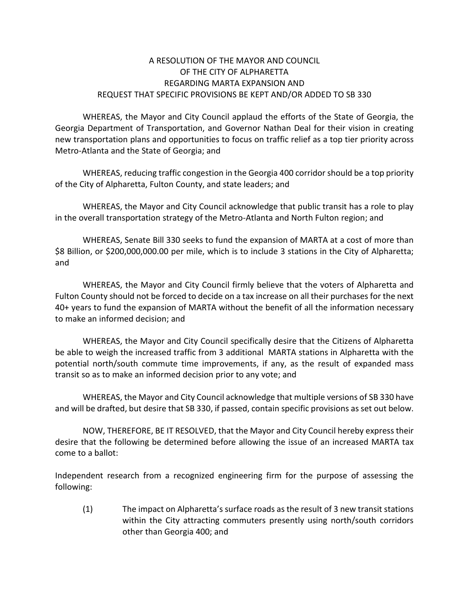## A RESOLUTION OF THE MAYOR AND COUNCIL OF THE CITY OF ALPHARETTA REGARDING MARTA EXPANSION AND REQUEST THAT SPECIFIC PROVISIONS BE KEPT AND/OR ADDED TO SB 330

WHEREAS, the Mayor and City Council applaud the efforts of the State of Georgia, the Georgia Department of Transportation, and Governor Nathan Deal for their vision in creating new transportation plans and opportunities to focus on traffic relief as a top tier priority across Metro-Atlanta and the State of Georgia; and

WHEREAS, reducing traffic congestion in the Georgia 400 corridor should be a top priority of the City of Alpharetta, Fulton County, and state leaders; and

WHEREAS, the Mayor and City Council acknowledge that public transit has a role to play in the overall transportation strategy of the Metro-Atlanta and North Fulton region; and

WHEREAS, Senate Bill 330 seeks to fund the expansion of MARTA at a cost of more than \$8 Billion, or \$200,000,000.00 per mile, which is to include 3 stations in the City of Alpharetta; and

WHEREAS, the Mayor and City Council firmly believe that the voters of Alpharetta and Fulton County should not be forced to decide on a tax increase on all their purchases for the next 40+ years to fund the expansion of MARTA without the benefit of all the information necessary to make an informed decision; and

WHEREAS, the Mayor and City Council specifically desire that the Citizens of Alpharetta be able to weigh the increased traffic from 3 additional MARTA stations in Alpharetta with the potential north/south commute time improvements, if any, as the result of expanded mass transit so as to make an informed decision prior to any vote; and

WHEREAS, the Mayor and City Council acknowledge that multiple versions of SB 330 have and will be drafted, but desire that SB 330, if passed, contain specific provisions as set out below.

NOW, THEREFORE, BE IT RESOLVED, that the Mayor and City Council hereby express their desire that the following be determined before allowing the issue of an increased MARTA tax come to a ballot:

Independent research from a recognized engineering firm for the purpose of assessing the following:

(1) The impact on Alpharetta's surface roads as the result of 3 new transit stations within the City attracting commuters presently using north/south corridors other than Georgia 400; and